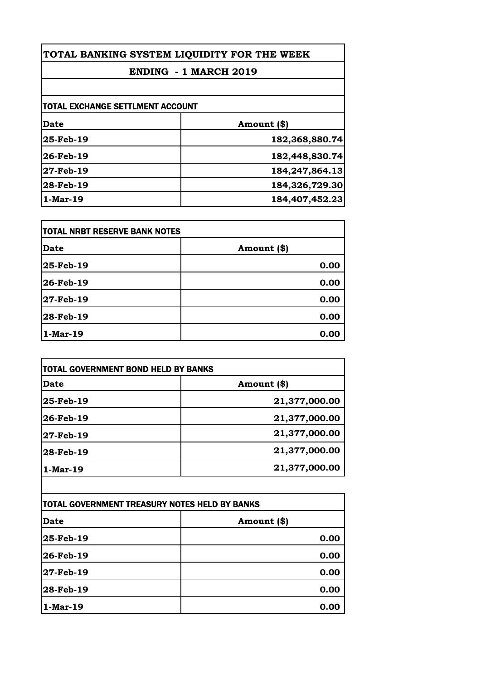## **ENDING - 1 MARCH 2019**

| TOTAL EXCHANGE SETTLMENT ACCOUNT |                   |
|----------------------------------|-------------------|
| Date                             | Amount (\$)       |
| 25-Feb-19                        | 182,368,880.74    |
| 26-Feb-19                        | 182,448,830.74    |
| 27-Feb-19                        | 184, 247, 864. 13 |
| 28-Feb-19                        | 184,326,729.30    |
| $1-Mar-19$                       | 184,407,452.23    |
|                                  |                   |

| <b>TOTAL NRBT RESERVE BANK NOTES</b> |             |
|--------------------------------------|-------------|
| <b>Date</b>                          | Amount (\$) |
| 25-Feb-19                            | 0.00        |
| 26-Feb-19                            | 0.00        |
| 27-Feb-19                            | 0.00        |
| 28-Feb-19                            | 0.00        |
| $1-Mar-19$                           | 0.00        |

| <b>TOTAL GOVERNMENT BOND HELD BY BANKS</b> |               |
|--------------------------------------------|---------------|
| Date                                       | Amount (\$)   |
| 25-Feb-19                                  | 21,377,000.00 |
| 26-Feb-19                                  | 21,377,000.00 |
| 27-Feb-19                                  | 21,377,000.00 |
| 28-Feb-19                                  | 21,377,000.00 |
| $1-Mar-19$                                 | 21,377,000.00 |

| TOTAL GOVERNMENT TREASURY NOTES HELD BY BANKS |             |
|-----------------------------------------------|-------------|
| <b>Date</b>                                   | Amount (\$) |
| 25-Feb-19                                     | 0.00        |
| 26-Feb-19                                     | 0.00        |
| 27-Feb-19                                     | 0.00        |
| 28-Feb-19                                     | 0.00        |
| $1-Mar-19$                                    | 0.00        |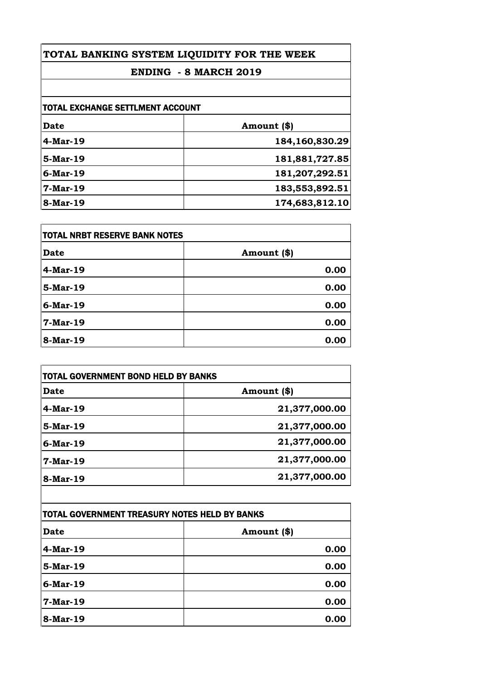## **ENDING - 8 MARCH 2019**

| <b>TOTAL EXCHANGE SETTLMENT ACCOUNT</b> |                |
|-----------------------------------------|----------------|
| Date                                    | Amount (\$)    |
| 4-Mar-19                                | 184,160,830.29 |
| 5-Mar-19                                | 181,881,727.85 |
| $6$ -Mar-19                             | 181,207,292.51 |
| $7-Mar-19$                              | 183,553,892.51 |
| 8-Mar-19                                | 174,683,812.10 |

| TOTAL NRBT RESERVE BANK NOTES |             |
|-------------------------------|-------------|
| <b>Date</b>                   | Amount (\$) |
| $4-Mar-19$                    | 0.00        |
| 5-Mar-19                      | 0.00        |
| $6$ -Mar-19                   | 0.00        |
| $7-Mar-19$                    | 0.00        |
| 8-Mar-19                      | 0.00        |

| <b>Date</b> | Amount (\$)   |
|-------------|---------------|
| $4$ -Mar-19 | 21,377,000.00 |
| 5-Mar-19    | 21,377,000.00 |
| $6$ -Mar-19 | 21,377,000.00 |
| $7-Mar-19$  | 21,377,000.00 |
| 8-Mar-19    | 21,377,000.00 |

| TOTAL GOVERNMENT TREASURY NOTES HELD BY BANKS |             |
|-----------------------------------------------|-------------|
| <b>Date</b>                                   | Amount (\$) |
| $4-Mar-19$                                    | 0.00        |
| 5-Mar-19                                      | 0.00        |
| 6-Mar-19                                      | 0.00        |
| $7-Mar-19$                                    | 0.00        |
| 8-Mar-19                                      | 0.00        |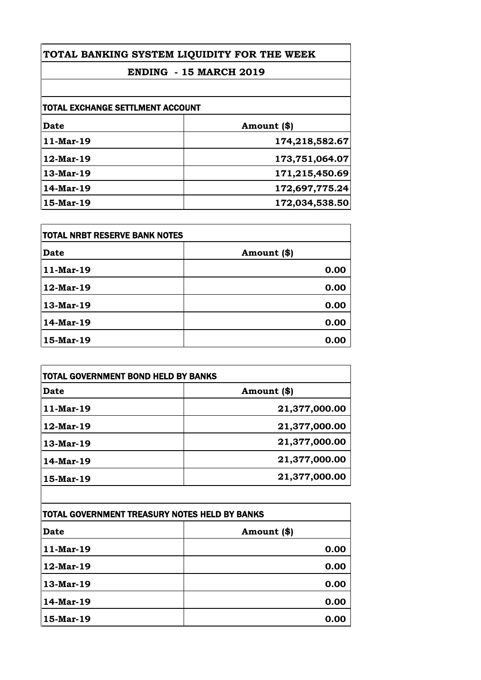## **ENDING - 15 MARCH 2019**

| TOTAL EXCHANGE SETTLMENT ACCOUNT |                |
|----------------------------------|----------------|
| Date                             | Amount (\$)    |
| 11-Mar-19                        | 174,218,582.67 |
| 12-Mar-19                        | 173,751,064.07 |
| $13-Mar-19$                      | 171,215,450.69 |
| 14-Mar-19                        | 172,697,775.24 |
| 15-Mar-19                        | 172,034,538.50 |

| TOTAL NRBT RESERVE BANK NOTES |             |
|-------------------------------|-------------|
| <b>Date</b>                   | Amount (\$) |
| 11-Mar-19                     | 0.00        |
| 12-Mar-19                     | 0.00        |
| 13-Mar-19                     | 0.00        |
| 14-Mar-19                     | 0.00        |
| 15-Mar-19                     | 0.00        |

| <b>TOTAL GOVERNMENT BOND HELD BY BANKS</b> |               |
|--------------------------------------------|---------------|
| <b>Date</b>                                | Amount (\$)   |
| $11-Mar-19$                                | 21,377,000.00 |
| $12$ -Mar-19                               | 21,377,000.00 |
| 13-Mar-19                                  | 21,377,000.00 |
| 14-Mar-19                                  | 21,377,000.00 |
| 15-Mar-19                                  | 21,377,000.00 |
|                                            |               |

| TOTAL GOVERNMENT TREASURY NOTES HELD BY BANKS |             |
|-----------------------------------------------|-------------|
| <b>Date</b>                                   | Amount (\$) |
| 11-Mar-19                                     | 0.00        |
| 12-Mar-19                                     | 0.00        |
| 13-Mar-19                                     | 0.00        |
| 14-Mar-19                                     | 0.00        |
| 15-Mar-19                                     | 0.00        |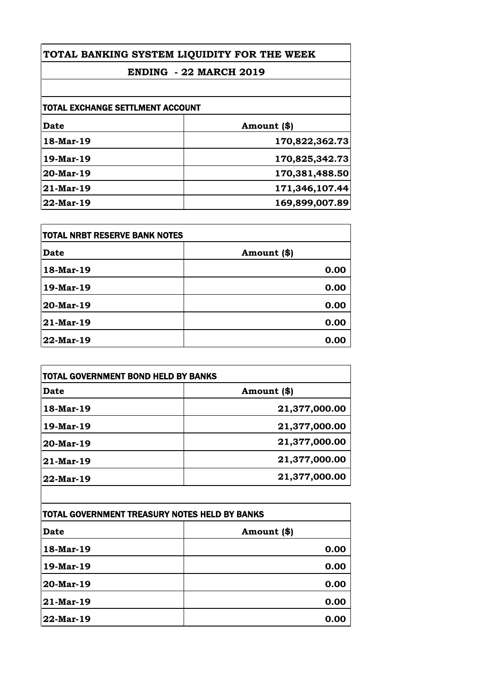## **ENDING - 22 MARCH 2019**

| <b>TOTAL EXCHANGE SETTLMENT ACCOUNT</b> |                |
|-----------------------------------------|----------------|
| Date                                    | Amount (\$)    |
| 18-Mar-19                               | 170,822,362.73 |
| 19-Mar-19                               | 170,825,342.73 |
| $20$ -Mar-19                            | 170,381,488.50 |
| 21-Mar-19                               | 171,346,107.44 |
| $22$ -Mar-19                            | 169,899,007.89 |

| TOTAL NRBT RESERVE BANK NOTES |             |
|-------------------------------|-------------|
| <b>Date</b>                   | Amount (\$) |
| 18-Mar-19                     | 0.00        |
| 19-Mar-19                     | 0.00        |
| 20-Mar-19                     | 0.00        |
| 21-Mar-19                     | 0.00        |
| 22-Mar-19                     | 0.00        |

| <b>TOTAL GOVERNMENT BOND HELD BY BANKS</b> |               |
|--------------------------------------------|---------------|
| <b>Date</b>                                | Amount (\$)   |
| 18-Mar-19                                  | 21,377,000.00 |
| 19-Mar-19                                  | 21,377,000.00 |
| 20-Mar-19                                  | 21,377,000.00 |
| $21$ -Mar-19                               | 21,377,000.00 |
| 22-Mar-19                                  | 21,377,000.00 |

| TOTAL GOVERNMENT TREASURY NOTES HELD BY BANKS |             |
|-----------------------------------------------|-------------|
| <b>Date</b>                                   | Amount (\$) |
| 18-Mar-19                                     | 0.00        |
| 19-Mar-19                                     | 0.00        |
| 20-Mar-19                                     | 0.00        |
| 21-Mar-19                                     | 0.00        |
| $22$ -Mar-19                                  | 0.00        |